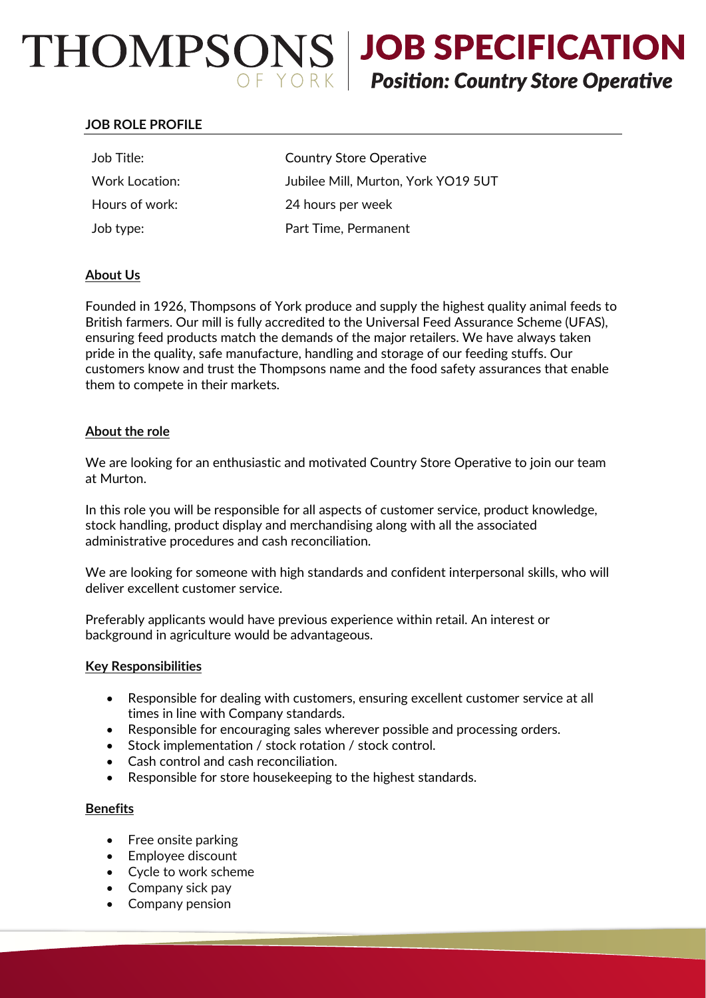# $THOMPSONS$  JOB SPECIFICATION<br>Position: Country Store Operative

# **JOB ROLE PROFILE**

| <b>Country Store Operative</b>      |
|-------------------------------------|
| Jubilee Mill, Murton, York YO19 5UT |
| 24 hours per week                   |
| Part Time, Permanent                |
|                                     |

## **About Us**

Founded in 1926, Thompsons of York produce and supply the highest quality animal feeds to British farmers. Our mill is fully accredited to the Universal Feed Assurance Scheme (UFAS), ensuring feed products match the demands of the major retailers. We have always taken pride in the quality, safe manufacture, handling and storage of our feeding stuffs. Our customers know and trust the Thompsons name and the food safety assurances that enable them to compete in their markets.

## **About the role**

We are looking for an enthusiastic and motivated Country Store Operative to join our team at Murton.

In this role you will be responsible for all aspects of customer service, product knowledge, stock handling, product display and merchandising along with all the associated administrative procedures and cash reconciliation.

We are looking for someone with high standards and confident interpersonal skills, who will deliver excellent customer service.

Preferably applicants would have previous experience within retail. An interest or background in agriculture would be advantageous.

## **Key Responsibilities**

- Responsible for dealing with customers, ensuring excellent customer service at all times in line with Company standards.
- Responsible for encouraging sales wherever possible and processing orders.
- Stock implementation / stock rotation / stock control.
- Cash control and cash reconciliation.
- Responsible for store housekeeping to the highest standards.

## **Benefits**

- Free onsite parking
- Employee discount
- Cycle to work scheme
- Company sick pay
- Company pension